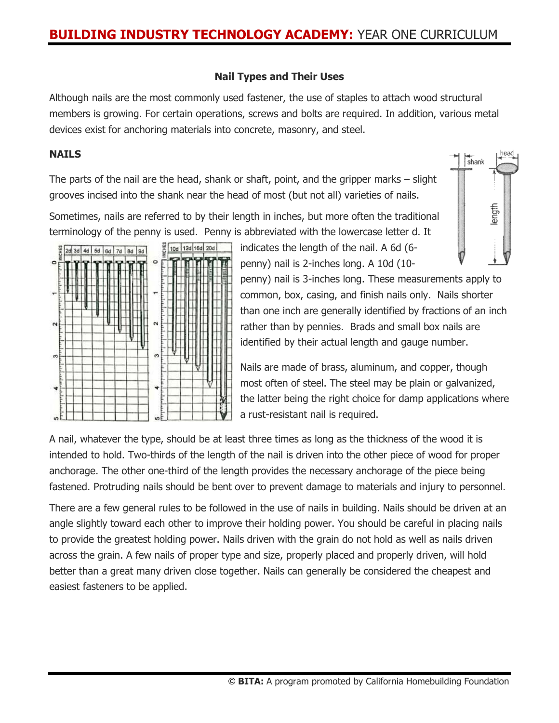#### **Nail Types and Their Uses**

Although nails are the most commonly used fastener, the use of staples to attach wood structural members is growing. For certain operations, screws and bolts are required. In addition, various metal devices exist for anchoring materials into concrete, masonry, and steel.

#### **NAILS**

The parts of the nail are the head, shank or shaft, point, and the gripper marks – slight grooves incised into the shank near the head of most (but not all) varieties of nails.

Sometimes, nails are referred to by their length in inches, but more often the traditional terminology of the penny is used. Penny is abbreviated with the lowercase letter d. It





indicates the length of the nail. A 6d (6 penny) nail is 2-inches long. A 10d (10-

penny) nail is 3-inches long. These measurements apply to common, box, casing, and finish nails only. Nails shorter than one inch are generally identified by fractions of an inch rather than by pennies. Brads and small box nails are identified by their actual length and gauge number.

Nails are made of brass, aluminum, and copper, though most often of steel. The steel may be plain or galvanized, the latter being the right choice for damp applications where a rust-resistant nail is required.

A nail, whatever the type, should be at least three times as long as the thickness of the wood it is intended to hold. Two-thirds of the length of the nail is driven into the other piece of wood for proper anchorage. The other one-third of the length provides the necessary anchorage of the piece being fastened. Protruding nails should be bent over to prevent damage to materials and injury to personnel.

There are a few general rules to be followed in the use of nails in building. Nails should be driven at an angle slightly toward each other to improve their holding power. You should be careful in placing nails to provide the greatest holding power. Nails driven with the grain do not hold as well as nails driven across the grain. A few nails of proper type and size, properly placed and properly driven, will hold better than a great many driven close together. Nails can generally be considered the cheapest and easiest fasteners to be applied.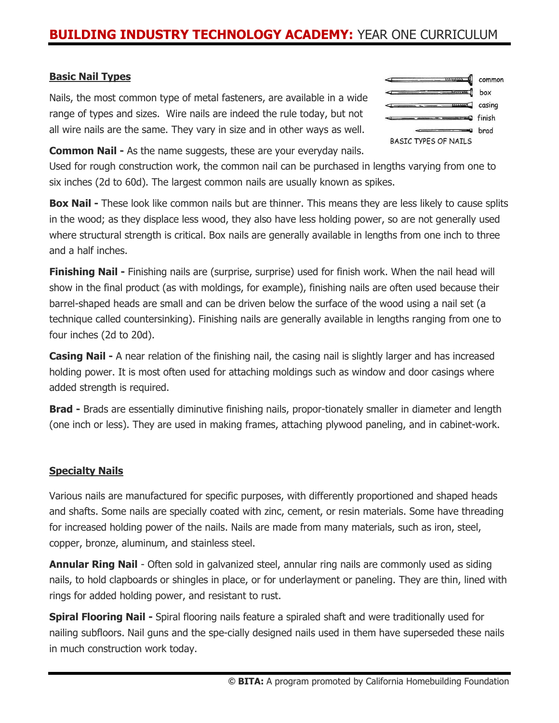## **BUILDING INDUSTRY TECHNOLOGY ACADEMY:** YEAR ONE CURRICULUM

#### **Basic Nail Types**

Nails, the most common type of metal fasteners, are available in a wide range of types and sizes. Wire nails are indeed the rule today, but not all wire nails are the same. They vary in size and in other ways as well.



**Common Nail -** As the name suggests, these are your everyday nails.

Used for rough construction work, the common nail can be purchased in lengths varying from one to six inches (2d to 60d). The largest common nails are usually known as spikes.

**Box Nail -** These look like common nails but are thinner. This means they are less likely to cause splits in the wood; as they displace less wood, they also have less holding power, so are not generally used where structural strength is critical. Box nails are generally available in lengths from one inch to three and a half inches.

**Finishing Nail -** Finishing nails are (surprise, surprise) used for finish work. When the nail head will show in the final product (as with moldings, for example), finishing nails are often used because their barrel-shaped heads are small and can be driven below the surface of the wood using a nail set (a technique called countersinking). Finishing nails are generally available in lengths ranging from one to four inches (2d to 20d).

**Casing Nail -** A near relation of the finishing nail, the casing nail is slightly larger and has increased holding power. It is most often used for attaching moldings such as window and door casings where added strength is required.

**Brad -** Brads are essentially diminutive finishing nails, propor-tionately smaller in diameter and length (one inch or less). They are used in making frames, attaching plywood paneling, and in cabinet-work.

#### **Specialty Nails**

Various nails are manufactured for specific purposes, with differently proportioned and shaped heads and shafts. Some nails are specially coated with zinc, cement, or resin materials. Some have threading for increased holding power of the nails. Nails are made from many materials, such as iron, steel, copper, bronze, aluminum, and stainless steel.

**Annular Ring Nail** - Often sold in galvanized steel, annular ring nails are commonly used as siding nails, to hold clapboards or shingles in place, or for underlayment or paneling. They are thin, lined with rings for added holding power, and resistant to rust.

**Spiral Flooring Nail -** Spiral flooring nails feature a spiraled shaft and were traditionally used for nailing subfloors. Nail guns and the spe-cially designed nails used in them have superseded these nails in much construction work today.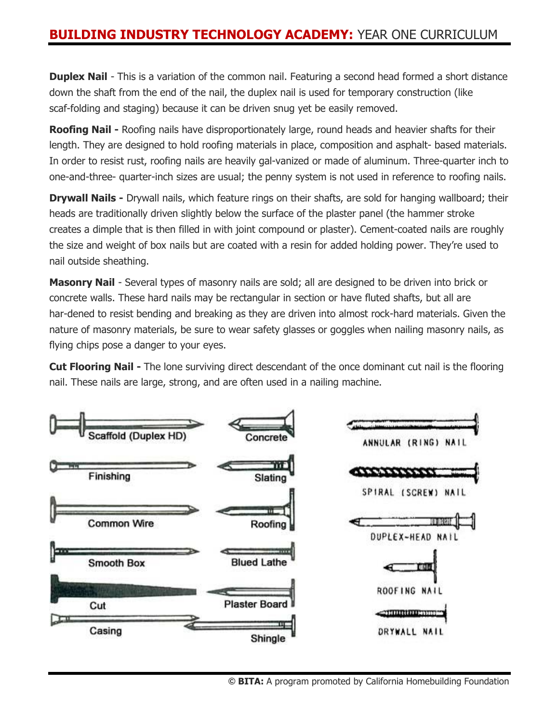# **BUILDING INDUSTRY TECHNOLOGY ACADEMY:** YEAR ONE CURRICULUM

**Duplex Nail** - This is a variation of the common nail. Featuring a second head formed a short distance down the shaft from the end of the nail, the duplex nail is used for temporary construction (like scaf-folding and staging) because it can be driven snug yet be easily removed.

**Roofing Nail -** Roofing nails have disproportionately large, round heads and heavier shafts for their length. They are designed to hold roofing materials in place, composition and asphalt- based materials. In order to resist rust, roofing nails are heavily gal-vanized or made of aluminum. Three-quarter inch to one-and-three- quarter-inch sizes are usual; the penny system is not used in reference to roofing nails.

**Drywall Nails -** Drywall nails, which feature rings on their shafts, are sold for hanging wallboard; their heads are traditionally driven slightly below the surface of the plaster panel (the hammer stroke creates a dimple that is then filled in with joint compound or plaster). Cement-coated nails are roughly the size and weight of box nails but are coated with a resin for added holding power. They're used to nail outside sheathing.

**Masonry Nail** - Several types of masonry nails are sold; all are designed to be driven into brick or concrete walls. These hard nails may be rectangular in section or have fluted shafts, but all are har-dened to resist bending and breaking as they are driven into almost rock-hard materials. Given the nature of masonry materials, be sure to wear safety glasses or goggles when nailing masonry nails, as flying chips pose a danger to your eyes.

**Cut Flooring Nail -** The lone surviving direct descendant of the once dominant cut nail is the flooring nail. These nails are large, strong, and are often used in a nailing machine.